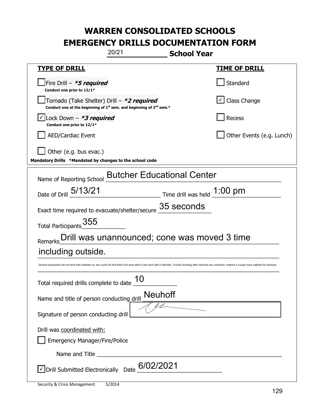| 20/21<br><b>School Year</b>                                                                                                                                                                                       |                               |  |
|-------------------------------------------------------------------------------------------------------------------------------------------------------------------------------------------------------------------|-------------------------------|--|
| <b>TYPE OF DRILL</b>                                                                                                                                                                                              | <u>TIME OF DRILL</u>          |  |
| Fire Drill - *5 required<br>Conduct one prior to 12/1*                                                                                                                                                            | Standard                      |  |
| Tornado (Take Shelter) Drill - *2 required<br>Conduct one at the beginning of $1^{st}$ sem. and beginning of $2^{nd}$ sem.*                                                                                       | $\boxed{\angle}$ Class Change |  |
| Lock Down $-$ *3 required<br>Conduct one prior to 12/1*                                                                                                                                                           | Recess                        |  |
| <b>AED/Cardiac Event</b>                                                                                                                                                                                          | Other Events (e.g. Lunch)     |  |
| Other (e.g. bus evac.)<br>Mandatory Drills *Mandated by changes to the school code                                                                                                                                |                               |  |
| Name of Reporting School Butcher Educational Center                                                                                                                                                               |                               |  |
| Date of Drill 5/13/21<br>Time drill was held 1:00 pm                                                                                                                                                              |                               |  |
| Exact time required to evacuate/shelter/secure 35 seconds                                                                                                                                                         |                               |  |
| Total Participants 355                                                                                                                                                                                            |                               |  |
| Drill was unannounced; cone was moved 3 time<br>Remarks                                                                                                                                                           |                               |  |
| including outside.                                                                                                                                                                                                |                               |  |
| Several employees did not have their walkees on; two could not find their's but were able to ask work with a hallmate. Trouble shooting after resolved any confusion; ordered a couple more walkees for teachers. |                               |  |
| 10<br>Total required drills complete to date                                                                                                                                                                      |                               |  |
| <b>Neuhoff</b><br>Name and title of person conducting drill                                                                                                                                                       |                               |  |
| Signature of person conducting drill                                                                                                                                                                              |                               |  |
| Drill was coordinated with:                                                                                                                                                                                       |                               |  |
| <b>Emergency Manager/Fire/Police</b>                                                                                                                                                                              |                               |  |
| Name and Title _________                                                                                                                                                                                          |                               |  |
| $\triangledown$ Drill Submitted Electronically Date $\underline{6/02/2021}$                                                                                                                                       |                               |  |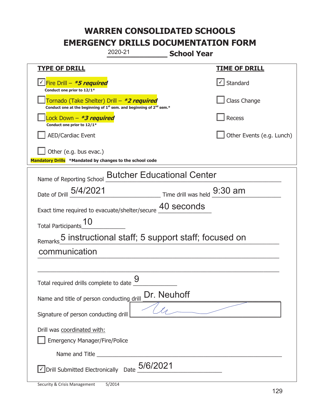| 2020-21<br><b>School Year</b>                                                                                               |                           |  |
|-----------------------------------------------------------------------------------------------------------------------------|---------------------------|--|
| <b>TYPE OF DRILL</b>                                                                                                        | <u>TIME OF DRILL</u>      |  |
| √Fire Drill – <i>*<b>5 required</b></i><br>Conduct one prior to 12/1*                                                       | √ Standard                |  |
| Tornado (Take Shelter) Drill - *2 required<br>Conduct one at the beginning of $1^{st}$ sem. and beginning of $2^{nd}$ sem.* | Class Change              |  |
| Lock Down – <b>*<i>3 required</i></b><br>Conduct one prior to 12/1*                                                         | Recess                    |  |
| <b>AED/Cardiac Event</b>                                                                                                    | Other Events (e.g. Lunch) |  |
| Other (e.g. bus evac.)<br>Mandatory Drills *Mandated by changes to the school code                                          |                           |  |
| Name of Reporting School <b>Butcher Educational Center</b>                                                                  |                           |  |
| Date of Drill 5/4/2021<br>$\frac{9:30 \text{ am}}{2}$ Time drill was held $\frac{9:30 \text{ am}}{2}$                       |                           |  |
| Exact time required to evacuate/shelter/secure 40 seconds                                                                   |                           |  |
| Total Participants_10                                                                                                       |                           |  |
| Remarks 5 instructional staff; 5 support staff; focused on                                                                  |                           |  |
| communication                                                                                                               |                           |  |
|                                                                                                                             |                           |  |
| 9<br>Total required drills complete to date                                                                                 |                           |  |
| Dr. Neuhoff<br>Name and title of person conducting drill                                                                    |                           |  |
| Signature of person conducting drill                                                                                        |                           |  |
| Drill was coordinated with:<br>Emergency Manager/Fire/Police                                                                |                           |  |
|                                                                                                                             |                           |  |
| $\vee$ Drill Submitted Electronically Date $5/6/2021$                                                                       |                           |  |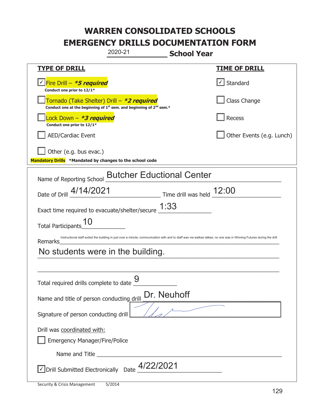| 2020-21<br><b>School Year</b>                                                                                                                                                   |                           |  |
|---------------------------------------------------------------------------------------------------------------------------------------------------------------------------------|---------------------------|--|
| <b>TYPE OF DRILL</b>                                                                                                                                                            | <u>TIME OF DRILL</u>      |  |
| <u>V Fire Drill – *5 required</u><br>Conduct one prior to 12/1*                                                                                                                 | √ Standard                |  |
| Tornado (Take Shelter) Drill – *2 required<br>Conduct one at the beginning of 1 <sup>st</sup> sem. and beginning of 2 <sup>nd</sup> sem.*                                       | Class Change              |  |
| Lock Down - <b>*3 required</b><br>Conduct one prior to 12/1*                                                                                                                    | Recess                    |  |
| <b>AED/Cardiac Event</b>                                                                                                                                                        | Other Events (e.g. Lunch) |  |
| Other (e.g. bus evac.)<br>Mandatory Drills *Mandated by changes to the school code                                                                                              |                           |  |
| Name of Reporting School <b>Butcher Eductional Center</b>                                                                                                                       |                           |  |
| Date of Drill 4/14/2021                                                                                                                                                         |                           |  |
| Exact time required to evacuate/shelter/secure $\underline{\hspace{1em}1:}33$                                                                                                   |                           |  |
| Total Participants_10                                                                                                                                                           |                           |  |
| Instructional staff exited the building in just over a minute; communication with and to staff was via walkee talkee; no one was in Winning Futures during the drill<br>Remarks |                           |  |
| No students were in the building.                                                                                                                                               |                           |  |
|                                                                                                                                                                                 |                           |  |
| Total required drills complete to date 9                                                                                                                                        |                           |  |
| Dr. Neuhoff<br>Name and title of person conducting drill                                                                                                                        |                           |  |
| Signature of person conducting drill                                                                                                                                            |                           |  |
| Drill was coordinated with:                                                                                                                                                     |                           |  |
| <b>Emergency Manager/Fire/Police</b>                                                                                                                                            |                           |  |
| Name and Title <b>Name and Title</b>                                                                                                                                            |                           |  |
| $\vee$ Drill Submitted Electronically Date $\frac{4/22/2021}{2}$                                                                                                                |                           |  |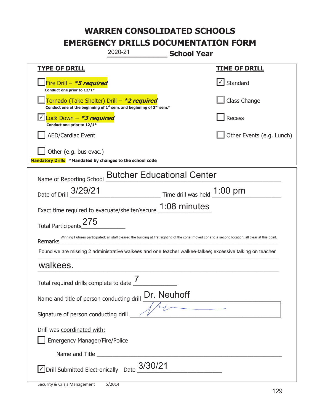| 2020-21<br><b>School Year</b>                                                                                                                                    |                           |  |
|------------------------------------------------------------------------------------------------------------------------------------------------------------------|---------------------------|--|
| <b>TYPE OF DRILL</b>                                                                                                                                             | <u>TIME OF DRILL</u>      |  |
| Fire Drill - *5 required<br>Conduct one prior to 12/1*                                                                                                           | $\sf I$ Standard          |  |
| Tornado (Take Shelter) Drill – *2 required<br>Conduct one at the beginning of 1 <sup>st</sup> sem. and beginning of 2 <sup>nd</sup> sem.*                        | Class Change              |  |
| Lock Down - <b>*3 required</b><br>Conduct one prior to 12/1*                                                                                                     | Recess                    |  |
| <b>AED/Cardiac Event</b>                                                                                                                                         | Other Events (e.g. Lunch) |  |
| Other (e.g. bus evac.)<br>Mandatory Drills *Mandated by changes to the school code                                                                               |                           |  |
| Name of Reporting School Butcher Educational Center                                                                                                              |                           |  |
| Date of Drill 3/29/21<br>$\frac{1:00 \text{ pm}}{1}$ Time drill was held $\frac{1:00 \text{ pm}}{1}$                                                             |                           |  |
| Exact time required to evacuate/shelter/secure 1:08 minutes                                                                                                      |                           |  |
| Total Participants <sup>275</sup>                                                                                                                                |                           |  |
| Winning Futures participated; all staff cleared the building at first sighting of the cone; moved cone to a second location, all clear at this point.<br>Remarks |                           |  |
| Found we are missing 2 administrative walkees and one teacher walkee-talkee; excessive talking on teacher                                                        |                           |  |
| walkees.                                                                                                                                                         |                           |  |
| 7<br>Total required drills complete to date                                                                                                                      |                           |  |
| Dr. Neuhoff<br>Name and title of person conducting drill                                                                                                         |                           |  |
| Signature of person conducting drill                                                                                                                             |                           |  |
| Drill was coordinated with:<br><b>Emergency Manager/Fire/Police</b>                                                                                              |                           |  |
|                                                                                                                                                                  |                           |  |
| $\sqrt{\text{Drill}}$ Submitted Electronically Date $\frac{3/30/21}{2}$                                                                                          |                           |  |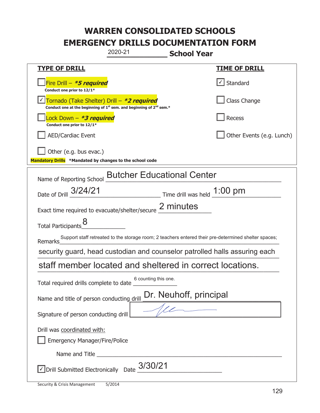| 2020-21<br><b>School Year</b>                                                                                               |                                   |  |  |
|-----------------------------------------------------------------------------------------------------------------------------|-----------------------------------|--|--|
| <b>TYPE OF DRILL</b>                                                                                                        | <u>TIME OF DRILL</u>              |  |  |
| Fire Drill - *5 required<br>Conduct one prior to 12/1*                                                                      | $\lfloor \angle \rfloor$ Standard |  |  |
| Tornado (Take Shelter) Drill – *2 required<br>Conduct one at the beginning of $1^{st}$ sem. and beginning of $2^{nd}$ sem.* | Class Change                      |  |  |
| Lock Down – <b>*<i>3 required</i></b><br>Conduct one prior to 12/1*                                                         | Recess                            |  |  |
| <b>AED/Cardiac Event</b>                                                                                                    | Other Events (e.g. Lunch)         |  |  |
| Other (e.g. bus evac.)<br>Mandatory Drills *Mandated by changes to the school code                                          |                                   |  |  |
| Name of Reporting School Butcher Educational Center                                                                         |                                   |  |  |
| $\frac{1:00 \text{ pm}}{}$ Time drill was held $\frac{1:00 \text{ pm}}{}$<br>Date of Drill 3/24/21                          |                                   |  |  |
| Exact time required to evacuate/shelter/secure 2 minutes                                                                    |                                   |  |  |
| Total Participants                                                                                                          |                                   |  |  |
| Support staff retreated to the storage room; 2 teachers entered their pre-determined shelter spaces;<br><b>Remarks</b>      |                                   |  |  |
| security guard, head custodian and counselor patrolled halls assuring each                                                  |                                   |  |  |
| staff member located and sheltered in correct locations.                                                                    |                                   |  |  |
| 6 counting this one.<br>Total required drills complete to date                                                              |                                   |  |  |
| Dr. Neuhoff, principal<br>Name and title of person conducting drill                                                         |                                   |  |  |
| Signature of person conducting drill                                                                                        |                                   |  |  |
| Drill was coordinated with:                                                                                                 |                                   |  |  |
| <b>Emergency Manager/Fire/Police</b>                                                                                        |                                   |  |  |
|                                                                                                                             |                                   |  |  |
| $\sqrt{\frac{1}{2}}$ Drill Submitted Electronically Date $\frac{3/30/21}{2}$                                                |                                   |  |  |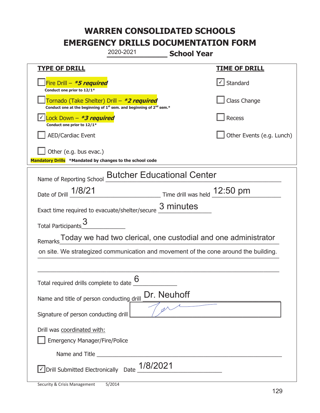| 2020-2021                                                                                                                                 | <b>School Year</b>                                                          |  |
|-------------------------------------------------------------------------------------------------------------------------------------------|-----------------------------------------------------------------------------|--|
| <b>TYPE OF DRILL</b>                                                                                                                      | <u>TIME OF DRILL</u>                                                        |  |
| Fire Drill - *5 required<br>Conduct one prior to 12/1*                                                                                    | $\vert$ Standard                                                            |  |
| Tornado (Take Shelter) Drill – *2 required<br>Conduct one at the beginning of 1 <sup>st</sup> sem. and beginning of 2 <sup>nd</sup> sem.* | Class Change                                                                |  |
| Lock Down - *3 required<br>Conduct one prior to 12/1*                                                                                     | Recess                                                                      |  |
| <b>AED/Cardiac Event</b>                                                                                                                  | Other Events (e.g. Lunch)                                                   |  |
| Other (e.g. bus evac.)                                                                                                                    |                                                                             |  |
| Mandatory Drills *Mandated by changes to the school code                                                                                  |                                                                             |  |
|                                                                                                                                           | Name of Reporting School <b>Butcher Educational Center</b>                  |  |
| Date of Drill 1/8/21                                                                                                                      | $\frac{12:50 \text{ pm}}{}$ Time drill was held $\frac{12:50 \text{ pm}}{}$ |  |
| Exact time required to evacuate/shelter/secure 3 minutes                                                                                  |                                                                             |  |
| Total Participants                                                                                                                        |                                                                             |  |
| Remarks                                                                                                                                   | Today we had two clerical, one custodial and one administrator              |  |
| on site. We strategized communication and movement of the cone around the building.                                                       |                                                                             |  |
|                                                                                                                                           |                                                                             |  |
| Total required drills complete to date                                                                                                    | 6                                                                           |  |
| Name and title of person conducting drill                                                                                                 | Dr. Neuhoff                                                                 |  |
| Signature of person conducting drill                                                                                                      |                                                                             |  |
| Drill was coordinated with:                                                                                                               |                                                                             |  |
| <b>Emergency Manager/Fire/Police</b>                                                                                                      |                                                                             |  |
|                                                                                                                                           |                                                                             |  |
| $\vee$ Drill Submitted Electronically Date $\_$ 1/8/2021                                                                                  |                                                                             |  |

t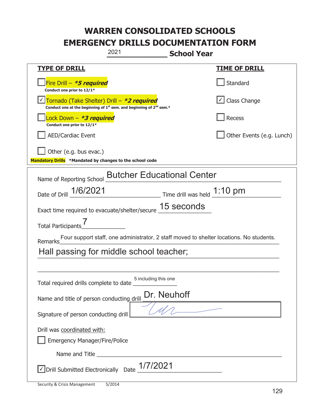| 2021<br><b>School Year</b>                                                                                                                                                                                                           |                           |  |
|--------------------------------------------------------------------------------------------------------------------------------------------------------------------------------------------------------------------------------------|---------------------------|--|
| <b>TYPE OF DRILL</b>                                                                                                                                                                                                                 | <b>TIME OF DRILL</b>      |  |
| Fire Drill - *5 required<br>Conduct one prior to 12/1*                                                                                                                                                                               | Standard                  |  |
| Tornado (Take Shelter) Drill - *2 required<br>Conduct one at the beginning of 1 <sup>st</sup> sem. and beginning of 2 <sup>nd</sup> sem.*                                                                                            | $\cup$ Class Change       |  |
| Lock Down – <b>*<i>3 required</i></b><br>Conduct one prior to 12/1*                                                                                                                                                                  | Recess                    |  |
| <b>AED/Cardiac Event</b>                                                                                                                                                                                                             | Other Events (e.g. Lunch) |  |
| Other (e.g. bus evac.)<br>Mandatory Drills *Mandated by changes to the school code                                                                                                                                                   |                           |  |
| Name of Reporting School <b>Butcher Educational Center</b>                                                                                                                                                                           |                           |  |
| $\frac{1:10 \text{ pm}}{}$ Time drill was held $\frac{1:10 \text{ pm}}{}$<br>Date of Drill 1/6/2021                                                                                                                                  |                           |  |
| Exact time required to evacuate/shelter/secure 15 seconds                                                                                                                                                                            |                           |  |
| Total Participants                                                                                                                                                                                                                   |                           |  |
| Four support staff, one administrator, 2 staff moved to shelter locations. No students.<br>Remarks                                                                                                                                   |                           |  |
| Hall passing for middle school teacher;                                                                                                                                                                                              |                           |  |
|                                                                                                                                                                                                                                      |                           |  |
| 5 including this one<br>Total required drills complete to date                                                                                                                                                                       |                           |  |
| Dr. Neuhoff<br>Name and title of person conducting drill                                                                                                                                                                             |                           |  |
| Signature of person conducting drill                                                                                                                                                                                                 |                           |  |
| Drill was coordinated with:<br>Emergency Manager/Fire/Police                                                                                                                                                                         |                           |  |
| Name and Title <b>contract the contract of the contract of the contract of the contract of the contract of the contract of the contract of the contract of the contract of the contract of the contract of the contract of the c</b> |                           |  |
| $\vee$ Drill Submitted Electronically Date $\underline{\hspace{1em}1/7/2}021$                                                                                                                                                        |                           |  |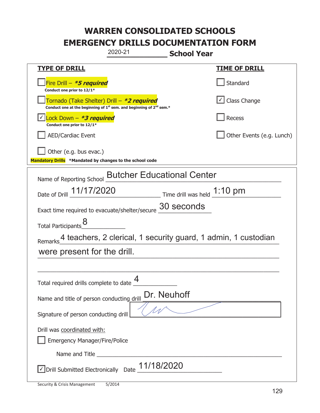| 2020-21<br><b>School Year</b>                                                                                                             |                                   |
|-------------------------------------------------------------------------------------------------------------------------------------------|-----------------------------------|
| <b>TYPE OF DRILL</b>                                                                                                                      | <u>TIME OF DRILL</u>              |
| Fire Drill - *5 required<br>Conduct one prior to 12/1*                                                                                    | Standard                          |
| Tornado (Take Shelter) Drill – *2 required<br>Conduct one at the beginning of 1 <sup>st</sup> sem. and beginning of 2 <sup>nd</sup> sem.* | $\boxed{\checkmark}$ Class Change |
| Lock Down - *3 required<br>Conduct one prior to 12/1*                                                                                     | Recess                            |
| <b>AED/Cardiac Event</b>                                                                                                                  | Other Events (e.g. Lunch)         |
| Other (e.g. bus evac.)<br>Mandatory Drills *Mandated by changes to the school code                                                        |                                   |
| Name of Reporting School <b>Butcher Educational Center</b>                                                                                |                                   |
| Date of Drill 11/17/2020 Time drill was held 1:10 pm                                                                                      |                                   |
| Exact time required to evacuate/shelter/secure 30 seconds                                                                                 |                                   |
| Total Participants                                                                                                                        |                                   |
| Remarks <sup>4</sup> teachers, 2 clerical, 1 security guard, 1 admin, 1 custodian                                                         |                                   |
| were present for the drill.                                                                                                               |                                   |
|                                                                                                                                           |                                   |
| Δ<br>Total required drills complete to date $\frac{4}{1}$                                                                                 |                                   |
| Name and title of person conducting drill                                                                                                 | Dr. Neuhoff                       |
| Signature of person conducting drill                                                                                                      |                                   |
| Drill was coordinated with:<br>Emergency Manager/Fire/Police                                                                              |                                   |
|                                                                                                                                           |                                   |
| 11/18/2020<br>√ Drill Submitted Electronically Date                                                                                       |                                   |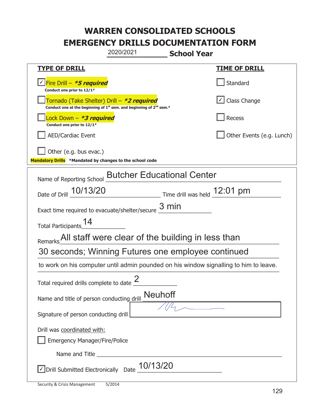|                                                                                       | 2020/2021                                                                     | <b>School Year</b>           |                               |
|---------------------------------------------------------------------------------------|-------------------------------------------------------------------------------|------------------------------|-------------------------------|
| <b>TYPE OF DRILL</b>                                                                  |                                                                               |                              | <u>TIME OF DRILL</u>          |
| <u>√ Fire Drill – <i>*5 required</i></u><br>Conduct one prior to 12/1*                |                                                                               |                              | Standard                      |
| Tornado (Take Shelter) Drill – *2 required                                            | Conduct one at the beginning of $1^{st}$ sem. and beginning of $2^{nd}$ sem.* |                              | $\boxed{\angle}$ Class Change |
| Lock Down – <b>*<i>3 required</i></b><br>Conduct one prior to 12/1*                   |                                                                               |                              | Recess                        |
| <b>AED/Cardiac Event</b>                                                              |                                                                               |                              | Other Events (e.g. Lunch)     |
| Other (e.g. bus evac.)<br>Mandatory Drills *Mandated by changes to the school code    |                                                                               |                              |                               |
| Name of Reporting School                                                              | <b>Butcher Educational Center</b>                                             |                              |                               |
| Date of Drill 10/13/20                                                                |                                                                               | Time drill was held 12:01 pm |                               |
| Exact time required to evacuate/shelter/secure $\frac{3 \text{ min}}{2}$              |                                                                               |                              |                               |
| Total Participants <sup>14</sup>                                                      |                                                                               |                              |                               |
| Remarks All staff were clear of the building in less than                             |                                                                               |                              |                               |
| 30 seconds; Winning Futures one employee continued                                    |                                                                               |                              |                               |
| to work on his computer until admin pounded on his window signalling to him to leave. |                                                                               |                              |                               |
| Total required drills complete to date $\frac{2}{3}$                                  |                                                                               |                              |                               |
| Name and title of person conducting drill                                             | <b>Neuhoff</b>                                                                |                              |                               |
| Signature of person conducting drill                                                  |                                                                               |                              |                               |
| Drill was coordinated with:<br><b>Emergency Manager/Fire/Police</b>                   |                                                                               |                              |                               |
|                                                                                       |                                                                               |                              |                               |
| √ Drill Submitted Electronically Date                                                 | 10/13/20                                                                      |                              |                               |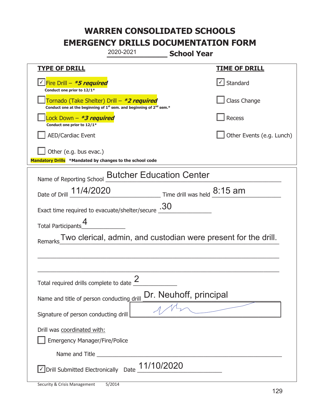|                                                                                                                                           | 2020-2021<br><b>School Year</b>                                |                           |
|-------------------------------------------------------------------------------------------------------------------------------------------|----------------------------------------------------------------|---------------------------|
| <b>TYPE OF DRILL</b>                                                                                                                      |                                                                | <u>TIME OF DRILL</u>      |
| <u>√ Fire Drill – <b>*5 required</b></u><br>Conduct one prior to 12/1*                                                                    |                                                                | $\cup$ Standard           |
| Tornado (Take Shelter) Drill – *2 required<br>Conduct one at the beginning of 1 <sup>st</sup> sem. and beginning of 2 <sup>nd</sup> sem.* |                                                                | Class Change              |
| Lock Down – <b>*3 required</b><br>Conduct one prior to 12/1*                                                                              |                                                                | Recess                    |
| <b>AED/Cardiac Event</b>                                                                                                                  |                                                                | Other Events (e.g. Lunch) |
| Other (e.g. bus evac.)<br>Mandatory Drills *Mandated by changes to the school code                                                        |                                                                |                           |
|                                                                                                                                           | Name of Reporting School <b>Butcher Education Center</b>       |                           |
|                                                                                                                                           | Date of Drill <b>11/4/2020</b> Time drill was held 8:15 am     |                           |
| Exact time required to evacuate/shelter/secure $.30$                                                                                      |                                                                |                           |
| Total Participants_4                                                                                                                      |                                                                |                           |
| Remarks                                                                                                                                   | Two clerical, admin, and custodian were present for the drill. |                           |
|                                                                                                                                           |                                                                |                           |
|                                                                                                                                           |                                                                |                           |
| Total required drills complete to date $\frac{2}{3}$                                                                                      |                                                                |                           |
| Dr. Neuhoff, principal<br>Name and title of person conducting drill                                                                       |                                                                |                           |
| Signature of person conducting drill                                                                                                      |                                                                |                           |
| Drill was coordinated with:<br><b>Emergency Manager/Fire/Police</b>                                                                       |                                                                |                           |
|                                                                                                                                           |                                                                |                           |
| $\vee$ Drill Submitted Electronically Date $\underline{11/10/2020}$                                                                       |                                                                |                           |

t